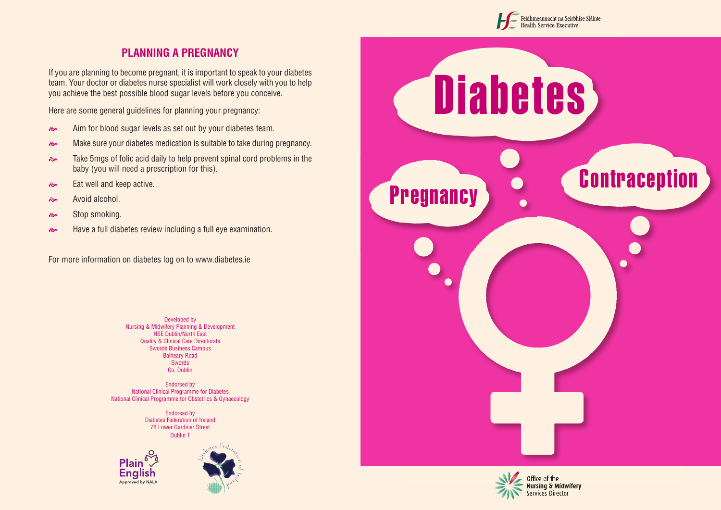

## **PLANNING A PREGNANCY**

If you are planning to become pregnant, it is important to speak to your diabetes team. Your doctor or diabetes nurse specialist will work closely with you to help you achieve the best possible blood sugar levels before you conceive.

Here are some general guidelines for planning your pregnancy:

- Aim for blood sugar levels as set out by your diabetes team.
- Make sure your diabetes medication is suitable to take during pregnancy.
- **Example 3** Take 5mgs of folic acid daily to help prevent spinal cord problems in the baby (you will need a prescription for this).
- Eat well and keep active.
- $\approx$  Avoid alcohol.
- $\approx$  Stop smoking.
- Have a full diabetes review including a full eye examination.

For more information on diabetes log on to www.diabetes.ie

Developed by Nursing & Midwifery Planning & Development HSE Dublin/North East Quality & Clinical Care Directorate Swords Business Campus Balheary Road **Swords** Co. Dublin

Endorsed by National Clinical Programme for Diabetes National Clinical Programme for Obstetrics & Gynaecology

> Endorsed by Diabetes Federation of Ireland 76 Lower Gardiner Street Dublin 1